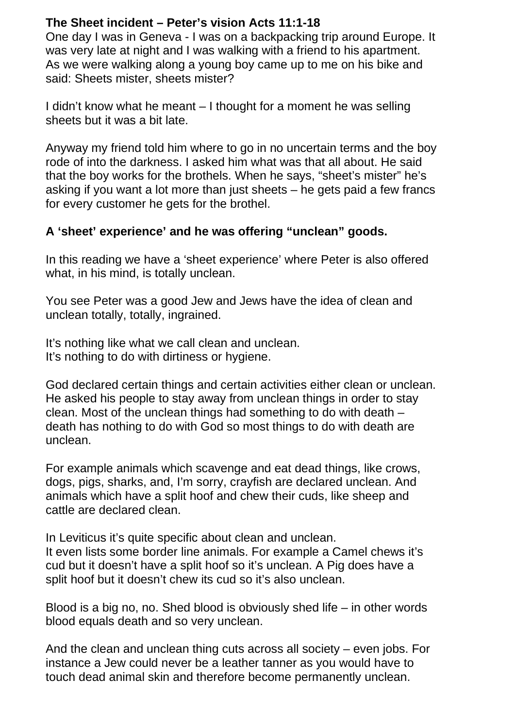## **The Sheet incident – Peter's vision Acts 11:1-18**

One day I was in Geneva - I was on a backpacking trip around Europe. It was very late at night and I was walking with a friend to his apartment. As we were walking along a young boy came up to me on his bike and said: Sheets mister, sheets mister?

I didn't know what he meant – I thought for a moment he was selling sheets but it was a bit late.

Anyway my friend told him where to go in no uncertain terms and the boy rode of into the darkness. I asked him what was that all about. He said that the boy works for the brothels. When he says, "sheet's mister" he's asking if you want a lot more than just sheets – he gets paid a few francs for every customer he gets for the brothel.

## **A 'sheet' experience' and he was offering "unclean" goods.**

In this reading we have a 'sheet experience' where Peter is also offered what, in his mind, is totally unclean.

You see Peter was a good Jew and Jews have the idea of clean and unclean totally, totally, ingrained.

It's nothing like what we call clean and unclean. It's nothing to do with dirtiness or hygiene.

God declared certain things and certain activities either clean or unclean. He asked his people to stay away from unclean things in order to stay clean. Most of the unclean things had something to do with death – death has nothing to do with God so most things to do with death are unclean.

For example animals which scavenge and eat dead things, like crows, dogs, pigs, sharks, and, I'm sorry, crayfish are declared unclean. And animals which have a split hoof and chew their cuds, like sheep and cattle are declared clean.

In Leviticus it's quite specific about clean and unclean. It even lists some border line animals. For example a Camel chews it's cud but it doesn't have a split hoof so it's unclean. A Pig does have a split hoof but it doesn't chew its cud so it's also unclean.

Blood is a big no, no. Shed blood is obviously shed life – in other words blood equals death and so very unclean.

And the clean and unclean thing cuts across all society – even jobs. For instance a Jew could never be a leather tanner as you would have to touch dead animal skin and therefore become permanently unclean.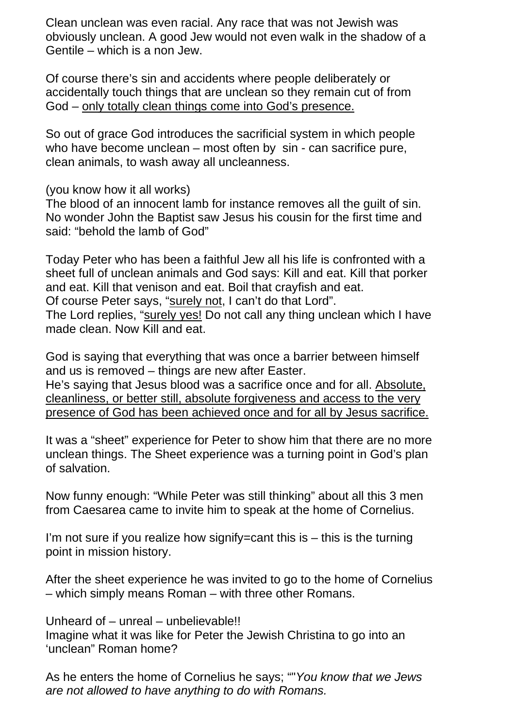Clean unclean was even racial. Any race that was not Jewish was obviously unclean. A good Jew would not even walk in the shadow of a Gentile – which is a non Jew.

Of course there's sin and accidents where people deliberately or accidentally touch things that are unclean so they remain cut of from God – only totally clean things come into God's presence.

So out of grace God introduces the sacrificial system in which people who have become unclean – most often by sin - can sacrifice pure, clean animals, to wash away all uncleanness.

(you know how it all works)

The blood of an innocent lamb for instance removes all the guilt of sin. No wonder John the Baptist saw Jesus his cousin for the first time and said: "behold the lamb of God"

Today Peter who has been a faithful Jew all his life is confronted with a sheet full of unclean animals and God says: Kill and eat. Kill that porker and eat. Kill that venison and eat. Boil that crayfish and eat. Of course Peter says, "surely not, I can't do that Lord". The Lord replies, "surely yes! Do not call any thing unclean which I have made clean. Now Kill and eat.

God is saying that everything that was once a barrier between himself and us is removed – things are new after Easter. He's saying that Jesus blood was a sacrifice once and for all. Absolute, cleanliness, or better still, absolute forgiveness and access to the very

presence of God has been achieved once and for all by Jesus sacrifice.

It was a "sheet" experience for Peter to show him that there are no more unclean things. The Sheet experience was a turning point in God's plan of salvation.

Now funny enough: "While Peter was still thinking" about all this 3 men from Caesarea came to invite him to speak at the home of Cornelius.

I'm not sure if you realize how signify=cant this  $is - this$  is the turning point in mission history.

After the sheet experience he was invited to go to the home of Cornelius – which simply means Roman – with three other Romans.

Unheard of – unreal – unbelievable!! Imagine what it was like for Peter the Jewish Christina to go into an 'unclean" Roman home?

As he enters the home of Cornelius he says; ""*You know that we Jews are not allowed to have anything to do with Romans.*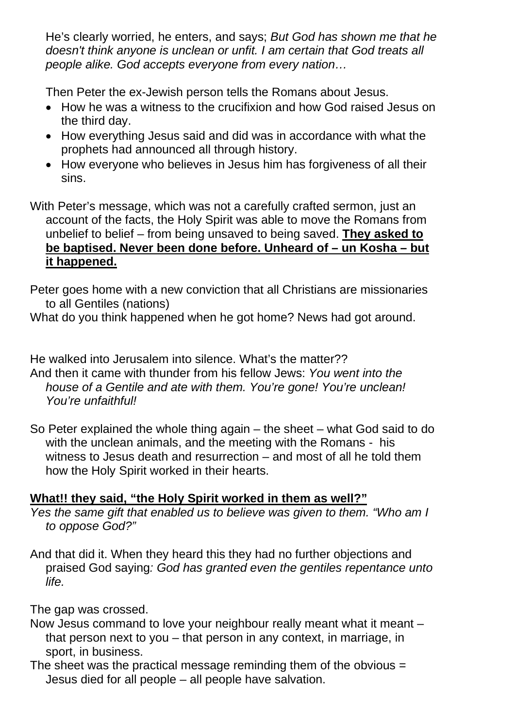He's clearly worried, he enters, and says; *But God has shown me that he doesn't think anyone is unclean or unfit. I am certain that God treats all people alike. God accepts everyone from every nation…* 

Then Peter the ex-Jewish person tells the Romans about Jesus.

- How he was a witness to the crucifixion and how God raised Jesus on the third day.
- How everything Jesus said and did was in accordance with what the prophets had announced all through history.
- How everyone who believes in Jesus him has forgiveness of all their sins.
- With Peter's message, which was not a carefully crafted sermon, just an account of the facts, the Holy Spirit was able to move the Romans from unbelief to belief – from being unsaved to being saved. **They asked to be baptised. Never been done before. Unheard of – un Kosha – but it happened.**

Peter goes home with a new conviction that all Christians are missionaries to all Gentiles (nations)

What do you think happened when he got home? News had got around.

He walked into Jerusalem into silence. What's the matter?? And then it came with thunder from his fellow Jews: *You went into the house of a Gentile and ate with them. You're gone! You're unclean! You're unfaithful!* 

So Peter explained the whole thing again – the sheet – what God said to do with the unclean animals, and the meeting with the Romans - his witness to Jesus death and resurrection – and most of all he told them how the Holy Spirit worked in their hearts.

## **What!! they said, "the Holy Spirit worked in them as well?"**

*Yes the same gift that enabled us to believe was given to them. "Who am I to oppose God?"* 

And that did it. When they heard this they had no further objections and praised God saying*: God has granted even the gentiles repentance unto life.* 

The gap was crossed.

- Now Jesus command to love your neighbour really meant what it meant that person next to you – that person in any context, in marriage, in sport, in business.
- The sheet was the practical message reminding them of the obvious  $=$ Jesus died for all people – all people have salvation.